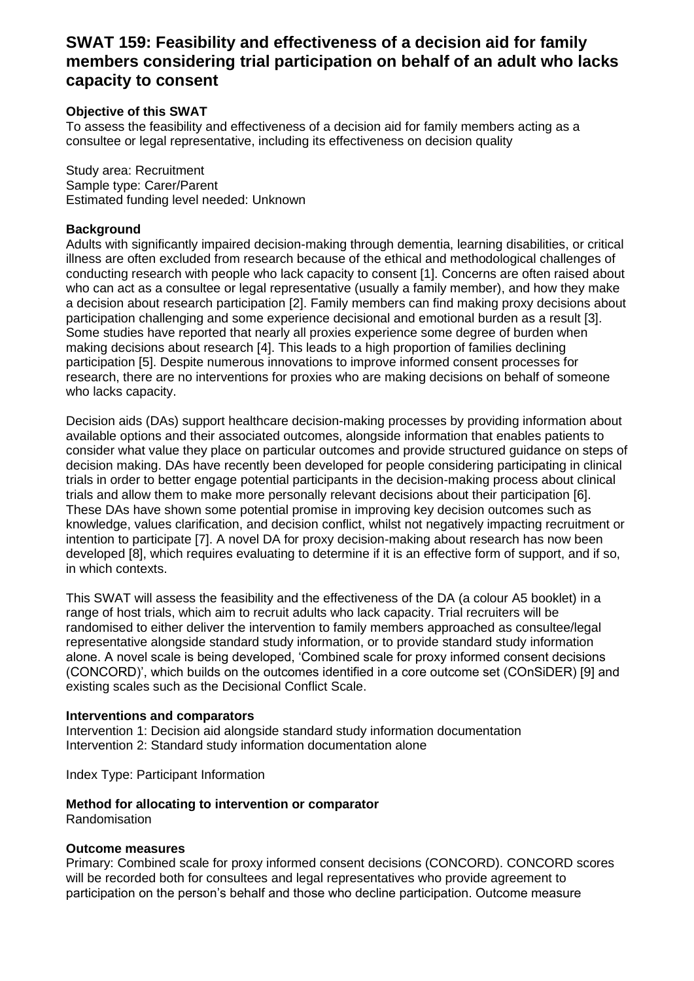## **SWAT 159: Feasibility and effectiveness of a decision aid for family members considering trial participation on behalf of an adult who lacks capacity to consent**

#### **Objective of this SWAT**

To assess the feasibility and effectiveness of a decision aid for family members acting as a consultee or legal representative, including its effectiveness on decision quality

Study area: Recruitment Sample type: Carer/Parent Estimated funding level needed: Unknown

#### **Background**

Adults with significantly impaired decision-making through dementia, learning disabilities, or critical illness are often excluded from research because of the ethical and methodological challenges of conducting research with people who lack capacity to consent [1]. Concerns are often raised about who can act as a consultee or legal representative (usually a family member), and how they make a decision about research participation [2]. Family members can find making proxy decisions about participation challenging and some experience decisional and emotional burden as a result [3]. Some studies have reported that nearly all proxies experience some degree of burden when making decisions about research [4]. This leads to a high proportion of families declining participation [5]. Despite numerous innovations to improve informed consent processes for research, there are no interventions for proxies who are making decisions on behalf of someone who lacks capacity.

Decision aids (DAs) support healthcare decision-making processes by providing information about available options and their associated outcomes, alongside information that enables patients to consider what value they place on particular outcomes and provide structured guidance on steps of decision making. DAs have recently been developed for people considering participating in clinical trials in order to better engage potential participants in the decision-making process about clinical trials and allow them to make more personally relevant decisions about their participation [6]. These DAs have shown some potential promise in improving key decision outcomes such as knowledge, values clarification, and decision conflict, whilst not negatively impacting recruitment or intention to participate [7]. A novel DA for proxy decision-making about research has now been developed [8], which requires evaluating to determine if it is an effective form of support, and if so, in which contexts.

This SWAT will assess the feasibility and the effectiveness of the DA (a colour A5 booklet) in a range of host trials, which aim to recruit adults who lack capacity. Trial recruiters will be randomised to either deliver the intervention to family members approached as consultee/legal representative alongside standard study information, or to provide standard study information alone. A novel scale is being developed, 'Combined scale for proxy informed consent decisions (CONCORD)', which builds on the outcomes identified in a core outcome set (COnSiDER) [9] and existing scales such as the Decisional Conflict Scale.

#### **Interventions and comparators**

Intervention 1: Decision aid alongside standard study information documentation Intervention 2: Standard study information documentation alone

Index Type: Participant Information

# **Method for allocating to intervention or comparator**

Randomisation

#### **Outcome measures**

Primary: Combined scale for proxy informed consent decisions (CONCORD). CONCORD scores will be recorded both for consultees and legal representatives who provide agreement to participation on the person's behalf and those who decline participation. Outcome measure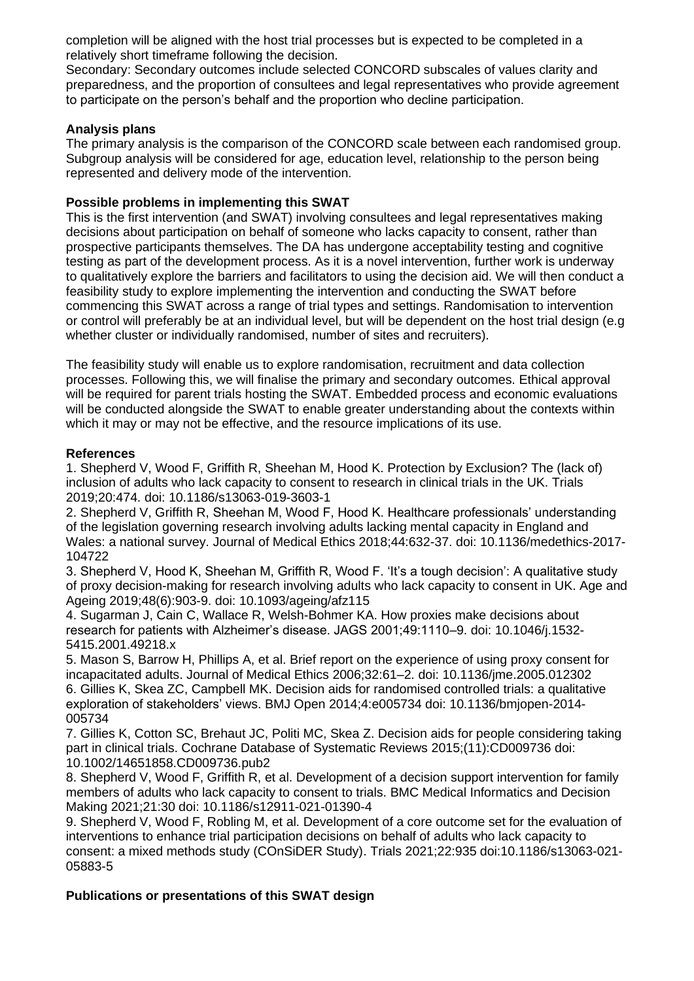completion will be aligned with the host trial processes but is expected to be completed in a relatively short timeframe following the decision.

Secondary: Secondary outcomes include selected CONCORD subscales of values clarity and preparedness, and the proportion of consultees and legal representatives who provide agreement to participate on the person's behalf and the proportion who decline participation.

#### **Analysis plans**

The primary analysis is the comparison of the CONCORD scale between each randomised group. Subgroup analysis will be considered for age, education level, relationship to the person being represented and delivery mode of the intervention.

#### **Possible problems in implementing this SWAT**

This is the first intervention (and SWAT) involving consultees and legal representatives making decisions about participation on behalf of someone who lacks capacity to consent, rather than prospective participants themselves. The DA has undergone acceptability testing and cognitive testing as part of the development process. As it is a novel intervention, further work is underway to qualitatively explore the barriers and facilitators to using the decision aid. We will then conduct a feasibility study to explore implementing the intervention and conducting the SWAT before commencing this SWAT across a range of trial types and settings. Randomisation to intervention or control will preferably be at an individual level, but will be dependent on the host trial design (e.g whether cluster or individually randomised, number of sites and recruiters).

The feasibility study will enable us to explore randomisation, recruitment and data collection processes. Following this, we will finalise the primary and secondary outcomes. Ethical approval will be required for parent trials hosting the SWAT. Embedded process and economic evaluations will be conducted alongside the SWAT to enable greater understanding about the contexts within which it may or may not be effective, and the resource implications of its use.

#### **References**

1. Shepherd V, Wood F, Griffith R, Sheehan M, Hood K. Protection by Exclusion? The (lack of) inclusion of adults who lack capacity to consent to research in clinical trials in the UK. Trials 2019;20:474. doi: 10.1186/s13063-019-3603-1

2. Shepherd V, Griffith R, Sheehan M, Wood F, Hood K. Healthcare professionals' understanding of the legislation governing research involving adults lacking mental capacity in England and Wales: a national survey. Journal of Medical Ethics 2018;44:632-37. doi: 10.1136/medethics-2017- 104722

3. Shepherd V, Hood K, Sheehan M, Griffith R, Wood F. 'It's a tough decision': A qualitative study of proxy decision-making for research involving adults who lack capacity to consent in UK. Age and Ageing 2019;48(6):903-9. doi: 10.1093/ageing/afz115

4. Sugarman J, Cain C, Wallace R, Welsh-Bohmer KA. How proxies make decisions about research for patients with Alzheimer's disease. JAGS 2001;49:1110–9. doi: 10.1046/j.1532- 5415.2001.49218.x

5. Mason S, Barrow H, Phillips A, et al. Brief report on the experience of using proxy consent for incapacitated adults. Journal of Medical Ethics 2006;32:61–2. doi: 10.1136/jme.2005.012302 6. Gillies K, Skea ZC, Campbell MK. Decision aids for randomised controlled trials: a qualitative exploration of stakeholders' views. BMJ Open 2014;4:e005734 doi: 10.1136/bmjopen-2014- 005734

7. Gillies K, Cotton SC, Brehaut JC, Politi MC, Skea Z. Decision aids for people considering taking part in clinical trials. Cochrane Database of Systematic Reviews 2015;(11):CD009736 doi: 10.1002/14651858.CD009736.pub2

8. Shepherd V, Wood F, Griffith R, et al. Development of a decision support intervention for family members of adults who lack capacity to consent to trials. BMC Medical Informatics and Decision Making 2021;21:30 doi: 10.1186/s12911-021-01390-4

9. Shepherd V, Wood F, Robling M, et al. Development of a core outcome set for the evaluation of interventions to enhance trial participation decisions on behalf of adults who lack capacity to consent: a mixed methods study (COnSiDER Study). Trials 2021;22:935 doi:10.1186/s13063-021- 05883-5

#### **Publications or presentations of this SWAT design**